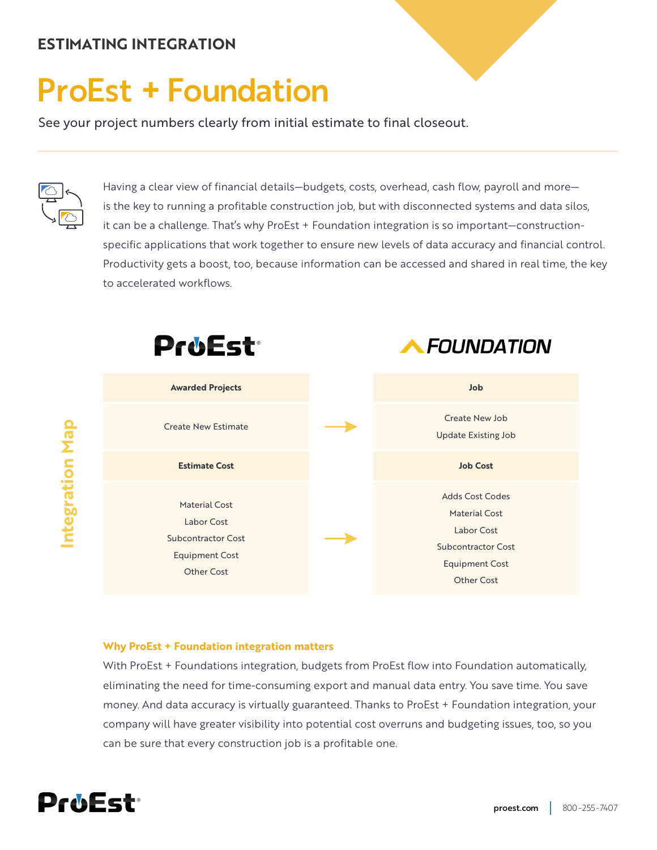## **ESTIMATING INTEGRATION**

# ProEst **+** Foundation

See your project numbers clearly from initial estimate to final closeout.



Having a clear view of financial details—budgets, costs, overhead, cash flow, payroll and more is the key to running a profitable construction job, but with disconnected systems and data silos, it can be a challenge. That's why ProEst + Foundation integration is so important—constructionspecific applications that work together to ensure new levels of data accuracy and financial control. Productivity gets a boost, too, because information can be accessed and shared in real time, the key to accelerated workflows.



#### **Why ProEst + Foundation integration matters**

With ProEst + Foundations integration, budgets from ProEst flow into Foundation automatically, eliminating the need for time-consuming export and manual data entry. You save time. You save money. And data accuracy is virtually guaranteed. Thanks to ProEst + Foundation integration, your company will have greater visibility into potential cost overruns and budgeting issues, too, so you can be sure that every construction job is a profitable one.